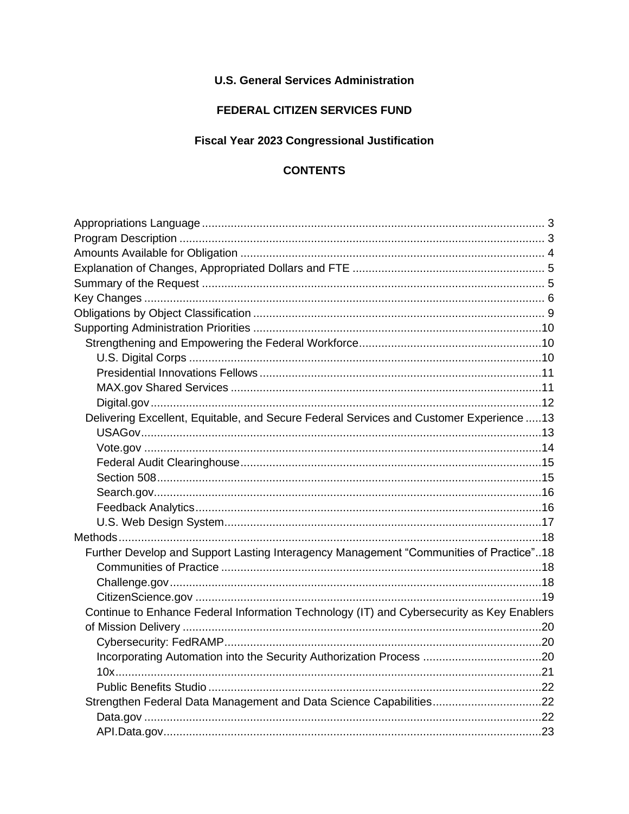## **U.S. General Services Administration**

# FEDERAL CITIZEN SERVICES FUND

## **Fiscal Year 2023 Congressional Justification**

# **CONTENTS**

| Delivering Excellent, Equitable, and Secure Federal Services and Customer Experience  13  |  |
|-------------------------------------------------------------------------------------------|--|
|                                                                                           |  |
|                                                                                           |  |
|                                                                                           |  |
|                                                                                           |  |
|                                                                                           |  |
|                                                                                           |  |
|                                                                                           |  |
|                                                                                           |  |
| Further Develop and Support Lasting Interagency Management "Communities of Practice"18    |  |
|                                                                                           |  |
|                                                                                           |  |
|                                                                                           |  |
| Continue to Enhance Federal Information Technology (IT) and Cybersecurity as Key Enablers |  |
|                                                                                           |  |
|                                                                                           |  |
|                                                                                           |  |
|                                                                                           |  |
|                                                                                           |  |
| Strengthen Federal Data Management and Data Science Capabilities22                        |  |
|                                                                                           |  |
|                                                                                           |  |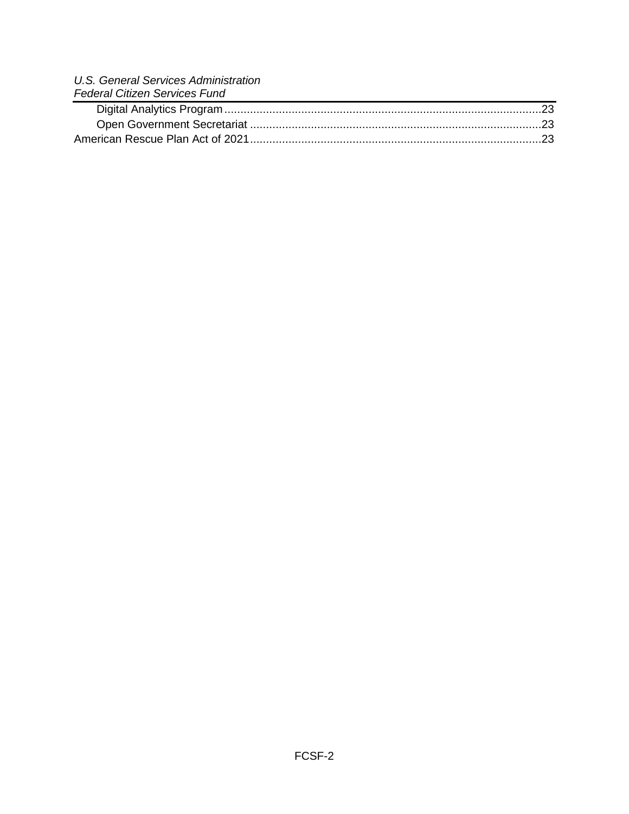| U.S. General Services Administration |
|--------------------------------------|
| <b>Federal Citizen Services Fund</b> |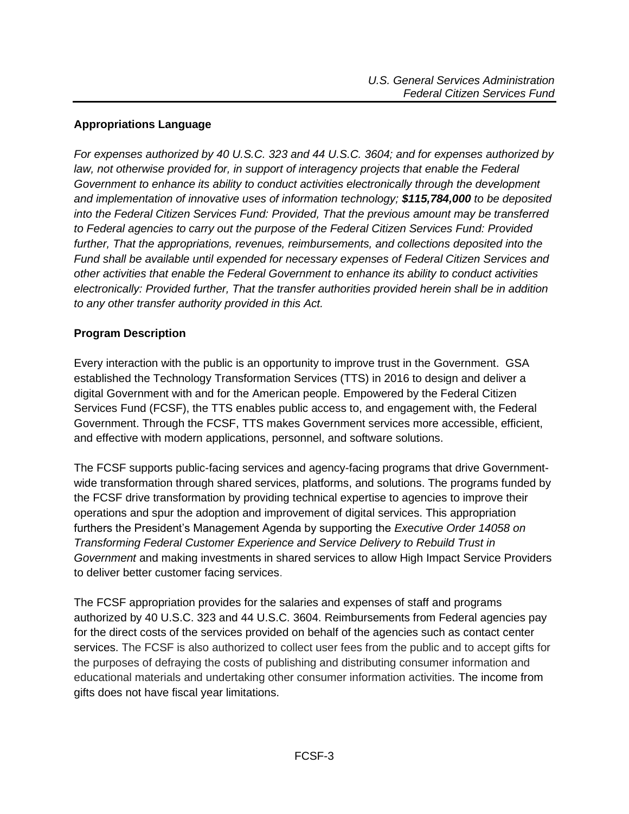### <span id="page-2-0"></span>**Appropriations Language**

*For expenses authorized by 40 U.S.C. 323 and 44 U.S.C. 3604; and for expenses authorized by*  law, not otherwise provided for, in support of interagency projects that enable the Federal *Government to enhance its ability to conduct activities electronically through the development and implementation of innovative uses of information technology; \$115,784,000 to be deposited into the Federal Citizen Services Fund: Provided, That the previous amount may be transferred to Federal agencies to carry out the purpose of the Federal Citizen Services Fund: Provided further, That the appropriations, revenues, reimbursements, and collections deposited into the Fund shall be available until expended for necessary expenses of Federal Citizen Services and other activities that enable the Federal Government to enhance its ability to conduct activities electronically: Provided further, That the transfer authorities provided herein shall be in addition to any other transfer authority provided in this Act.*

### <span id="page-2-1"></span>**Program Description**

Every interaction with the public is an opportunity to improve trust in the Government. GSA established the Technology Transformation Services (TTS) in 2016 to design and deliver a digital Government with and for the American people. Empowered by the Federal Citizen Services Fund (FCSF), the TTS enables public access to, and engagement with, the Federal Government. Through the FCSF, TTS makes Government services more accessible, efficient, and effective with modern applications, personnel, and software solutions.

The FCSF supports public-facing services and agency-facing programs that drive Governmentwide transformation through shared services, platforms, and solutions. The programs funded by the FCSF drive transformation by providing technical expertise to agencies to improve their operations and spur the adoption and improvement of digital services. This appropriation furthers the President's Management Agenda by supporting the *Executive Order 14058 on Transforming Federal Customer Experience and Service Delivery to Rebuild Trust in Government* and making investments in shared services to allow High Impact Service Providers to deliver better customer facing services.

The FCSF appropriation provides for the salaries and expenses of staff and programs authorized by 40 U.S.C. 323 and 44 U.S.C. 3604. Reimbursements from Federal agencies pay for the direct costs of the services provided on behalf of the agencies such as contact center services. The FCSF is also authorized to collect user fees from the public and to accept gifts for the purposes of defraying the costs of publishing and distributing consumer information and educational materials and undertaking other consumer information activities. The income from gifts does not have fiscal year limitations.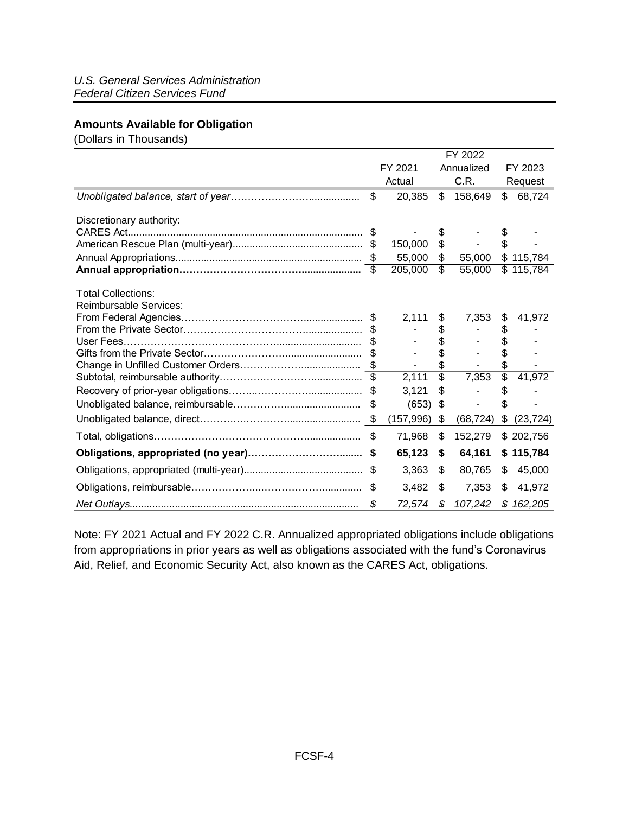#### <span id="page-3-0"></span>**Amounts Available for Obligation**

(Dollars in Thousands)

|                               | FY 2022 |            |                 |            |                 |           |  |
|-------------------------------|---------|------------|-----------------|------------|-----------------|-----------|--|
|                               | FY 2021 |            |                 | Annualized |                 | FY 2023   |  |
|                               | Actual  |            | C.R.            |            | Request         |           |  |
|                               | \$      | 20,385     | \$              | 158,649    | \$              | 68,724    |  |
| Discretionary authority:      |         |            |                 |            |                 |           |  |
|                               |         |            | \$              |            |                 |           |  |
|                               |         | 150,000    | \$              |            | \$.             |           |  |
|                               |         | 55,000     | \$              | 55,000     |                 | \$115,784 |  |
|                               |         | 205,000    | \$              | 55,000     |                 | \$115,784 |  |
| <b>Total Collections:</b>     |         |            |                 |            |                 |           |  |
| <b>Reimbursable Services:</b> |         |            |                 |            |                 |           |  |
|                               | \$      | 2,111      | \$              | 7,353      | \$              | 41,972    |  |
|                               |         |            | \$              |            | \$              |           |  |
|                               |         |            | \$              |            | \$              |           |  |
|                               |         |            | \$              |            |                 |           |  |
|                               |         |            | \$              |            | \$              |           |  |
|                               |         | 2,111      | $\overline{\$}$ | 7,353      | $\overline{\$}$ | 41,972    |  |
|                               | -S      | 3,121      | \$              |            | \$              |           |  |
|                               |         | (653)      | \$              |            |                 |           |  |
|                               | \$      | (157, 996) | \$              | (68, 724)  | \$              | (23, 724) |  |
|                               | \$      | 71,968     | \$              | 152,279    |                 | \$202,756 |  |
|                               | S       | 65,123     | \$              | 64,161     |                 | \$115,784 |  |
|                               | \$      | 3,363      | \$              | 80,765     | \$              | 45,000    |  |
|                               | \$      | 3,482      | \$              | 7,353      | \$              | 41,972    |  |
|                               | \$      | 72,574     | \$              | 107,242    | \$              | 162,205   |  |

Note: FY 2021 Actual and FY 2022 C.R. Annualized appropriated obligations include obligations from appropriations in prior years as well as obligations associated with the fund's Coronavirus Aid, Relief, and Economic Security Act, also known as the CARES Act, obligations.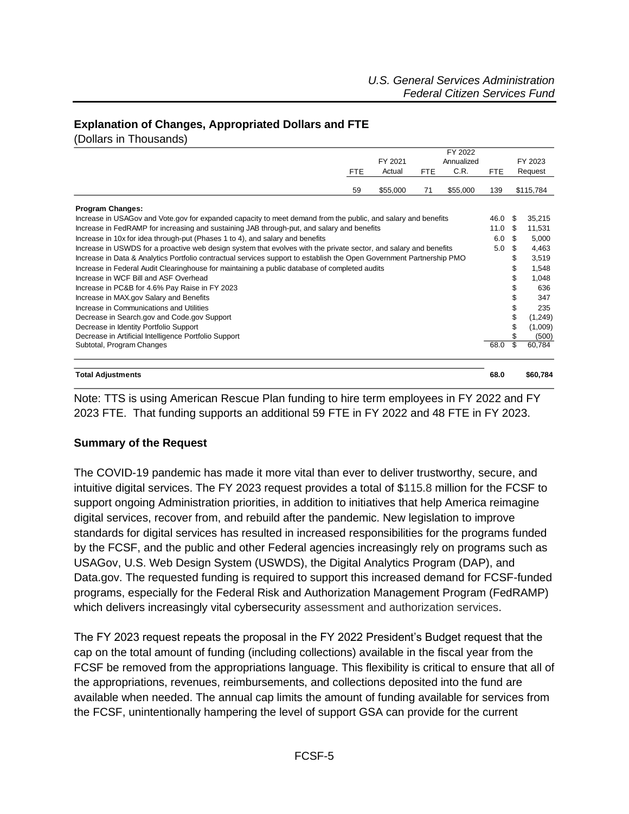#### <span id="page-4-0"></span>**Explanation of Changes, Appropriated Dollars and FTE**

(Dollars in Thousands)

|                                                                                                                      |            |          |            | FY 2022    |            |    |           |
|----------------------------------------------------------------------------------------------------------------------|------------|----------|------------|------------|------------|----|-----------|
|                                                                                                                      |            | FY 2021  |            | Annualized |            |    | FY 2023   |
|                                                                                                                      | <b>FTE</b> | Actual   | <b>FTE</b> | C.R.       | <b>FTE</b> |    | Request   |
|                                                                                                                      | 59         | \$55,000 | 71         | \$55,000   | 139        |    | \$115,784 |
| <b>Program Changes:</b>                                                                                              |            |          |            |            |            |    |           |
| Increase in USAGov and Vote gov for expanded capacity to meet demand from the public, and salary and benefits        |            | 46.0     | -\$        | 35,215     |            |    |           |
| Increase in FedRAMP for increasing and sustaining JAB through-put, and salary and benefits                           |            | 11.0     | \$         | 11,531     |            |    |           |
| Increase in 10x for idea through-put (Phases 1 to 4), and salary and benefits                                        |            | 6.0      | - \$       | 5,000      |            |    |           |
| Increase in USWDS for a proactive web design system that evolves with the private sector, and salary and benefits    |            | 5.0      | \$         | 4,463      |            |    |           |
| Increase in Data & Analytics Portfolio contractual services support to establish the Open Government Partnership PMO |            |          | \$         | 3,519      |            |    |           |
| Increase in Federal Audit Clearinghouse for maintaining a public database of completed audits                        |            |          | \$         | 1,548      |            |    |           |
| Increase in WCF Bill and ASF Overhead                                                                                |            |          |            |            |            | \$ | 1,048     |
| Increase in PC&B for 4.6% Pay Raise in FY 2023                                                                       |            |          |            |            |            | \$ | 636       |
| Increase in MAX.gov Salary and Benefits                                                                              |            |          |            |            |            | \$ | 347       |
| Increase in Communications and Utilities                                                                             |            |          |            |            |            | \$ | 235       |
| Decrease in Search gov and Code gov Support                                                                          |            |          |            |            |            | \$ | (1,249)   |
| Decrease in Identity Portfolio Support                                                                               |            |          |            |            |            | \$ | (1,009)   |
| Decrease in Artificial Intelligence Portfolio Support                                                                |            |          |            |            |            | \$ | (500)     |
| Subtotal, Program Changes                                                                                            |            |          |            |            | 68.0       | \$ | 60,784    |
| Total Adiustments                                                                                                    |            |          |            |            | 68.0       |    | \$60.784  |

Note: TTS is using American Rescue Plan funding to hire term employees in FY 2022 and FY 2023 FTE. That funding supports an additional 59 FTE in FY 2022 and 48 FTE in FY 2023.

#### <span id="page-4-1"></span>**Summary of the Request**

The COVID-19 pandemic has made it more vital than ever to deliver trustworthy, secure, and intuitive digital services. The FY 2023 request provides a total of \$115.8 million for the FCSF to support ongoing Administration priorities, in addition to initiatives that help America reimagine digital services, recover from, and rebuild after the pandemic. New legislation to improve standards for digital services has resulted in increased responsibilities for the programs funded by the FCSF, and the public and other Federal agencies increasingly rely on programs such as USAGov, U.S. Web Design System (USWDS), the Digital Analytics Program (DAP), and Data.gov. The requested funding is required to support this increased demand for FCSF-funded programs, especially for the Federal Risk and Authorization Management Program (FedRAMP) which delivers increasingly vital cybersecurity assessment and authorization services.

The FY 2023 request repeats the proposal in the FY 2022 President's Budget request that the cap on the total amount of funding (including collections) available in the fiscal year from the FCSF be removed from the appropriations language. This flexibility is critical to ensure that all of the appropriations, revenues, reimbursements, and collections deposited into the fund are available when needed. The annual cap limits the amount of funding available for services from the FCSF, unintentionally hampering the level of support GSA can provide for the current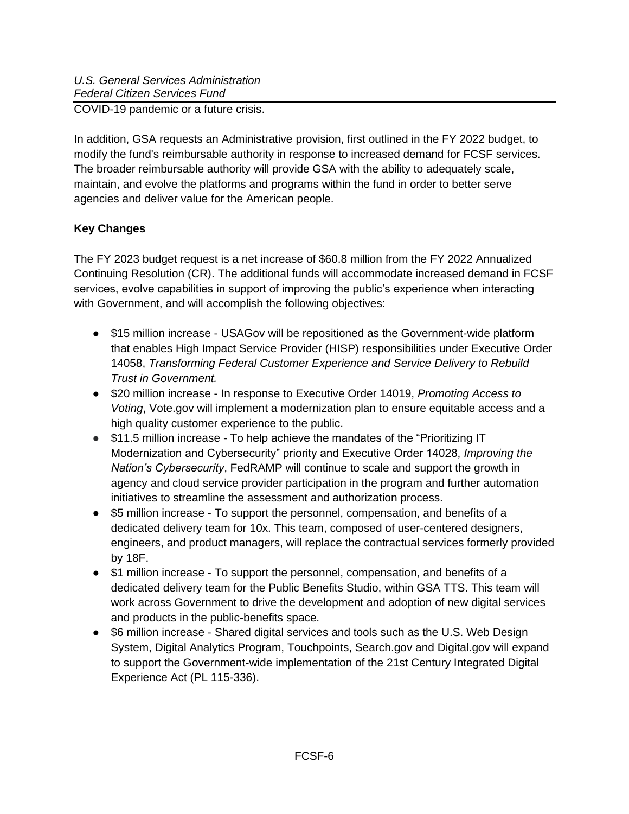COVID-19 pandemic or a future crisis.

In addition, GSA requests an Administrative provision, first outlined in the FY 2022 budget, to modify the fund's reimbursable authority in response to increased demand for FCSF services. The broader reimbursable authority will provide GSA with the ability to adequately scale, maintain, and evolve the platforms and programs within the fund in order to better serve agencies and deliver value for the American people.

# <span id="page-5-0"></span>**Key Changes**

The FY 2023 budget request is a net increase of \$60.8 million from the FY 2022 Annualized Continuing Resolution (CR). The additional funds will accommodate increased demand in FCSF services, evolve capabilities in support of improving the public's experience when interacting with Government, and will accomplish the following objectives:

- \$15 million increase USAGov will be repositioned as the Government-wide platform that enables High Impact Service Provider (HISP) responsibilities under Executive Order 14058, *Transforming Federal Customer Experience and Service Delivery to Rebuild Trust in Government.*
- \$20 million increase In response to Executive Order 14019, *Promoting Access to Voting*, Vote.gov will implement a modernization plan to ensure equitable access and a high quality customer experience to the public.
- \$11.5 million increase To help achieve the mandates of the "Prioritizing IT Modernization and Cybersecurity" priority and Executive Order 14028, *Improving the Nation's Cybersecurity*, FedRAMP will continue to scale and support the growth in agency and cloud service provider participation in the program and further automation initiatives to streamline the assessment and authorization process.
- \$5 million increase To support the personnel, compensation, and benefits of a dedicated delivery team for 10x. This team, composed of user-centered designers, engineers, and product managers, will replace the contractual services formerly provided by 18F.
- \$1 million increase To support the personnel, compensation, and benefits of a dedicated delivery team for the Public Benefits Studio, within GSA TTS. This team will work across Government to drive the development and adoption of new digital services and products in the public-benefits space.
- \$6 million increase Shared digital services and tools such as the U.S. Web Design System, Digital Analytics Program, Touchpoints, Search.gov and Digital.gov will expand to support the Government-wide implementation of the 21st Century Integrated Digital Experience Act (PL 115-336).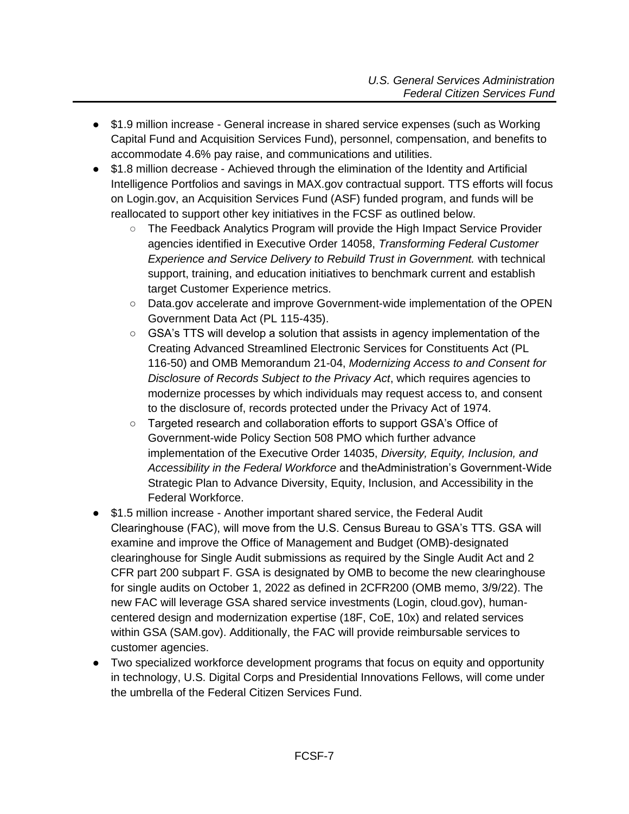- \$1.9 million increase General increase in shared service expenses (such as Working Capital Fund and Acquisition Services Fund), personnel, compensation, and benefits to accommodate 4.6% pay raise, and communications and utilities.
- \$1.8 million decrease Achieved through the elimination of the Identity and Artificial Intelligence Portfolios and savings in MAX.gov contractual support. TTS efforts will focus on Login.gov, an Acquisition Services Fund (ASF) funded program, and funds will be reallocated to support other key initiatives in the FCSF as outlined below.
	- The Feedback Analytics Program will provide the High Impact Service Provider agencies identified in Executive Order 14058, *Transforming Federal Customer Experience and Service Delivery to Rebuild Trust in Government.* with technical support, training, and education initiatives to benchmark current and establish target Customer Experience metrics.
	- Data.gov accelerate and improve Government-wide implementation of the OPEN Government Data Act (PL 115-435).
	- GSA's TTS will develop a solution that assists in agency implementation of the Creating Advanced Streamlined Electronic Services for Constituents Act (PL 116-50) and OMB Memorandum 21-04, *Modernizing Access to and Consent for Disclosure of Records Subject to the Privacy Act*, which requires agencies to modernize processes by which individuals may request access to, and consent to the disclosure of, records protected under the Privacy Act of 1974.
	- Targeted research and collaboration efforts to support GSA's Office of Government-wide Policy Section 508 PMO which further advance implementation of the Executive Order 14035, *Diversity, Equity, Inclusion, and Accessibility in the Federal Workforce* and theAdministration's Government-Wide Strategic Plan to Advance Diversity, Equity, Inclusion, and Accessibility in the Federal Workforce.
- \$1.5 million increase Another important shared service, the Federal Audit Clearinghouse (FAC), will move from the U.S. Census Bureau to GSA's TTS. GSA will examine and improve the Office of Management and Budget (OMB)-designated clearinghouse for Single Audit submissions as required by the Single Audit Act and 2 CFR part 200 subpart F. GSA is designated by OMB to become the new clearinghouse for single audits on October 1, 2022 as defined in 2CFR200 (OMB memo, 3/9/22). The new FAC will leverage GSA shared service investments (Login, cloud.gov), humancentered design and modernization expertise (18F, CoE, 10x) and related services within GSA (SAM.gov). Additionally, the FAC will provide reimbursable services to customer agencies.
- Two specialized workforce development programs that focus on equity and opportunity in technology, U.S. Digital Corps and Presidential Innovations Fellows, will come under the umbrella of the Federal Citizen Services Fund.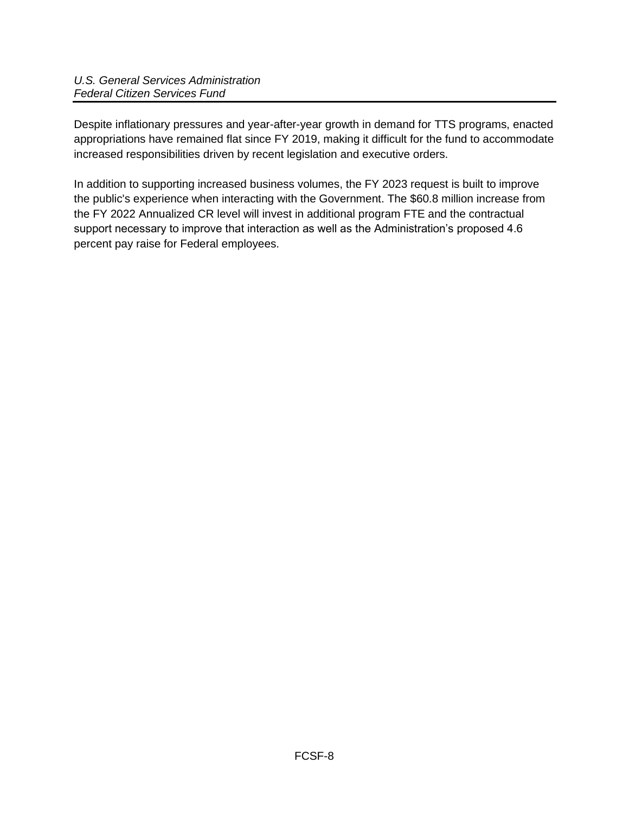Despite inflationary pressures and year-after-year growth in demand for TTS programs, enacted appropriations have remained flat since FY 2019, making it difficult for the fund to accommodate increased responsibilities driven by recent legislation and executive orders.

In addition to supporting increased business volumes, the FY 2023 request is built to improve the public's experience when interacting with the Government. The \$60.8 million increase from the FY 2022 Annualized CR level will invest in additional program FTE and the contractual support necessary to improve that interaction as well as the Administration's proposed 4.6 percent pay raise for Federal employees.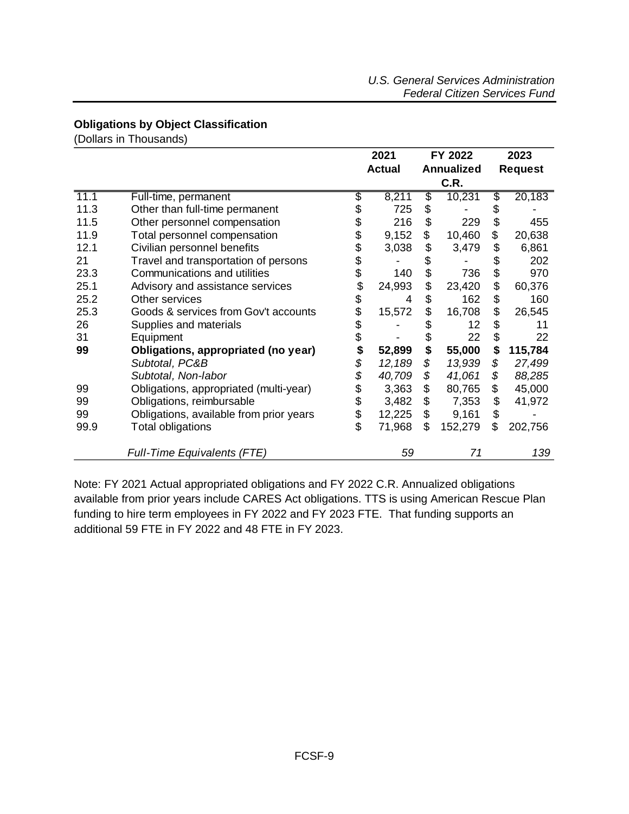### <span id="page-8-0"></span>**Obligations by Object Classification**

(Dollars in Thousands)

|      |                                         | 2021                               |    | FY 2022 |                | 2023    |  |
|------|-----------------------------------------|------------------------------------|----|---------|----------------|---------|--|
|      |                                         | <b>Annualized</b><br><b>Actual</b> |    |         | <b>Request</b> |         |  |
|      |                                         |                                    |    | C.R.    |                |         |  |
| 11.1 | Full-time, permanent                    | \$<br>8,211                        | \$ | 10,231  | \$             | 20,183  |  |
| 11.3 | Other than full-time permanent          | \$<br>725                          | \$ |         | \$             |         |  |
| 11.5 | Other personnel compensation            | \$<br>216                          | \$ | 229     | \$             | 455     |  |
| 11.9 | Total personnel compensation            | \$<br>9,152                        | \$ | 10,460  | \$             | 20,638  |  |
| 12.1 | Civilian personnel benefits             | \$<br>3,038                        | \$ | 3,479   | \$             | 6,861   |  |
| 21   | Travel and transportation of persons    | \$                                 | \$ |         | \$             | 202     |  |
| 23.3 | Communications and utilities            | \$<br>140                          | \$ | 736     | \$             | 970     |  |
| 25.1 | Advisory and assistance services        | \$<br>24,993                       | \$ | 23,420  | \$             | 60,376  |  |
| 25.2 | Other services                          | \$<br>4                            | \$ | 162     | \$             | 160     |  |
| 25.3 | Goods & services from Gov't accounts    | \$<br>15,572                       | \$ | 16,708  | \$             | 26,545  |  |
| 26   | Supplies and materials                  | \$                                 |    | 12      | \$             | 11      |  |
| 31   | Equipment                               | \$                                 | \$ | 22      | \$             | 22      |  |
| 99   | Obligations, appropriated (no year)     | \$<br>52,899                       | \$ | 55,000  | \$             | 115,784 |  |
|      | Subtotal, PC&B                          | \$<br>12,189                       | \$ | 13,939  | \$             | 27,499  |  |
|      | Subtotal, Non-labor                     | \$<br>40,709                       | \$ | 41,061  | \$             | 88,285  |  |
| 99   | Obligations, appropriated (multi-year)  | \$<br>3,363                        | \$ | 80,765  | \$             | 45,000  |  |
| 99   | Obligations, reimbursable               | \$<br>3,482                        | \$ | 7,353   | \$             | 41,972  |  |
| 99   | Obligations, available from prior years | 12,225                             | \$ | 9,161   | \$             |         |  |
| 99.9 | Total obligations                       | \$<br>71,968                       | \$ | 152,279 |                | 202,756 |  |
|      | <b>Full-Time Equivalents (FTE)</b>      | 59                                 |    | 71      |                | 139     |  |

Note: FY 2021 Actual appropriated obligations and FY 2022 C.R. Annualized obligations available from prior years include CARES Act obligations. TTS is using American Rescue Plan funding to hire term employees in FY 2022 and FY 2023 FTE. That funding supports an additional 59 FTE in FY 2022 and 48 FTE in FY 2023.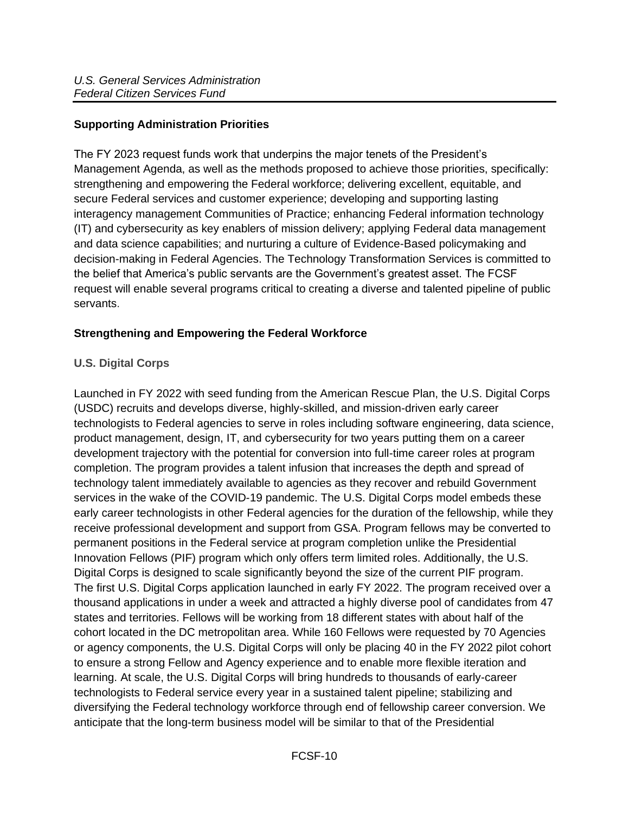### <span id="page-9-0"></span>**Supporting Administration Priorities**

The FY 2023 request funds work that underpins the major tenets of the President's Management Agenda, as well as the methods proposed to achieve those priorities, specifically: strengthening and empowering the Federal workforce; delivering excellent, equitable, and secure Federal services and customer experience; developing and supporting lasting interagency management Communities of Practice; enhancing Federal information technology (IT) and cybersecurity as key enablers of mission delivery; applying Federal data management and data science capabilities; and nurturing a culture of Evidence-Based policymaking and decision-making in Federal Agencies. The Technology Transformation Services is committed to the belief that America's public servants are the Government's greatest asset. The FCSF request will enable several programs critical to creating a diverse and talented pipeline of public servants.

### <span id="page-9-1"></span>**Strengthening and Empowering the Federal Workforce**

#### <span id="page-9-2"></span>**U.S. Digital Corps**

Launched in FY 2022 with seed funding from the American Rescue Plan, the U.S. Digital Corps (USDC) recruits and develops diverse, highly-skilled, and mission-driven early career technologists to Federal agencies to serve in roles including software engineering, data science, product management, design, IT, and cybersecurity for two years putting them on a career development trajectory with the potential for conversion into full-time career roles at program completion. The program provides a talent infusion that increases the depth and spread of technology talent immediately available to agencies as they recover and rebuild Government services in the wake of the COVID-19 pandemic. The U.S. Digital Corps model embeds these early career technologists in other Federal agencies for the duration of the fellowship, while they receive professional development and support from GSA. Program fellows may be converted to permanent positions in the Federal service at program completion unlike the Presidential Innovation Fellows (PIF) program which only offers term limited roles. Additionally, the U.S. Digital Corps is designed to scale significantly beyond the size of the current PIF program. The first U.S. Digital Corps application launched in early FY 2022. The program received over a thousand applications in under a week and attracted a highly diverse pool of candidates from 47 states and territories. Fellows will be working from 18 different states with about half of the cohort located in the DC metropolitan area. While 160 Fellows were requested by 70 Agencies or agency components, the U.S. Digital Corps will only be placing 40 in the FY 2022 pilot cohort to ensure a strong Fellow and Agency experience and to enable more flexible iteration and learning. At scale, the U.S. Digital Corps will bring hundreds to thousands of early-career technologists to Federal service every year in a sustained talent pipeline; stabilizing and diversifying the Federal technology workforce through end of fellowship career conversion. We anticipate that the long-term business model will be similar to that of the Presidential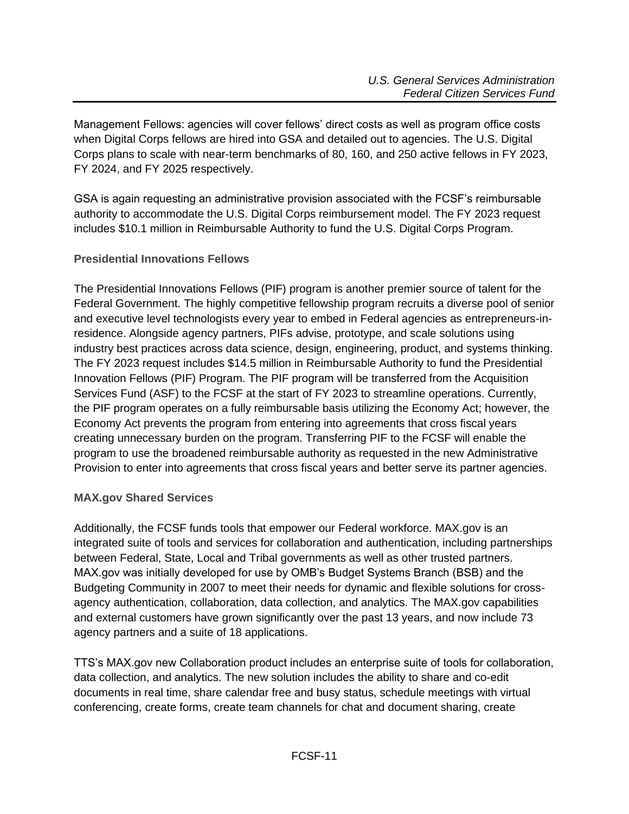Management Fellows: agencies will cover fellows' direct costs as well as program office costs when Digital Corps fellows are hired into GSA and detailed out to agencies. The U.S. Digital Corps plans to scale with near-term benchmarks of 80, 160, and 250 active fellows in FY 2023, FY 2024, and FY 2025 respectively.

GSA is again requesting an administrative provision associated with the FCSF's reimbursable authority to accommodate the U.S. Digital Corps reimbursement model. The FY 2023 request includes \$10.1 million in Reimbursable Authority to fund the U.S. Digital Corps Program.

### <span id="page-10-0"></span>**Presidential Innovations Fellows**

The Presidential Innovations Fellows (PIF) program is another premier source of talent for the Federal Government. The highly competitive fellowship program recruits a diverse pool of senior and executive level technologists every year to embed in Federal agencies as entrepreneurs-inresidence. Alongside agency partners, PIFs advise, prototype, and scale solutions using industry best practices across data science, design, engineering, product, and systems thinking. The FY 2023 request includes \$14.5 million in Reimbursable Authority to fund the Presidential Innovation Fellows (PIF) Program. The PIF program will be transferred from the Acquisition Services Fund (ASF) to the FCSF at the start of FY 2023 to streamline operations. Currently, the PIF program operates on a fully reimbursable basis utilizing the Economy Act; however, the Economy Act prevents the program from entering into agreements that cross fiscal years creating unnecessary burden on the program. Transferring PIF to the FCSF will enable the program to use the broadened reimbursable authority as requested in the new Administrative Provision to enter into agreements that cross fiscal years and better serve its partner agencies.

#### <span id="page-10-1"></span>**MAX.gov Shared Services**

Additionally, the FCSF funds tools that empower our Federal workforce. MAX.gov is an integrated suite of tools and services for collaboration and authentication, including partnerships between Federal, State, Local and Tribal governments as well as other trusted partners. MAX.gov was initially developed for use by OMB's Budget Systems Branch (BSB) and the Budgeting Community in 2007 to meet their needs for dynamic and flexible solutions for crossagency authentication, collaboration, data collection, and analytics. The MAX.gov capabilities and external customers have grown significantly over the past 13 years, and now include 73 agency partners and a suite of 18 applications.

TTS's MAX.gov new Collaboration product includes an enterprise suite of tools for collaboration, data collection, and analytics. The new solution includes the ability to share and co-edit documents in real time, share calendar free and busy status, schedule meetings with virtual conferencing, create forms, create team channels for chat and document sharing, create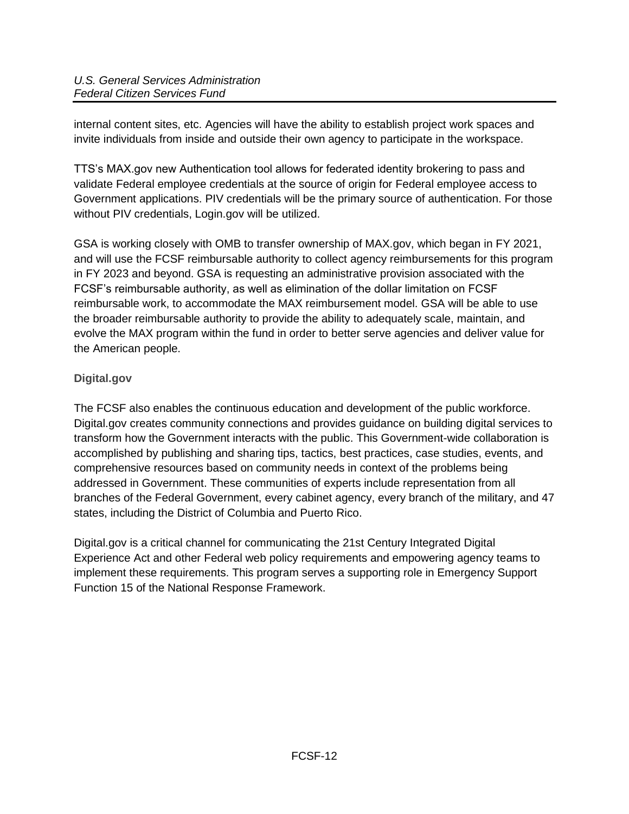internal content sites, etc. Agencies will have the ability to establish project work spaces and invite individuals from inside and outside their own agency to participate in the workspace.

TTS's MAX.gov new Authentication tool allows for federated identity brokering to pass and validate Federal employee credentials at the source of origin for Federal employee access to Government applications. PIV credentials will be the primary source of authentication. For those without PIV credentials, Login.gov will be utilized.

GSA is working closely with OMB to transfer ownership of MAX.gov, which began in FY 2021, and will use the FCSF reimbursable authority to collect agency reimbursements for this program in FY 2023 and beyond. GSA is requesting an administrative provision associated with the FCSF's reimbursable authority, as well as elimination of the dollar limitation on FCSF reimbursable work, to accommodate the MAX reimbursement model. GSA will be able to use the broader reimbursable authority to provide the ability to adequately scale, maintain, and evolve the MAX program within the fund in order to better serve agencies and deliver value for the American people.

# <span id="page-11-0"></span>**Digital.gov**

The FCSF also enables the continuous education and development of the public workforce. Digital.gov creates community connections and provides guidance on building digital services to transform how the Government interacts with the public. This Government-wide collaboration is accomplished by publishing and sharing tips, tactics, best practices, case studies, events, and comprehensive resources based on community needs in context of the problems being addressed in Government. These communities of experts include representation from all branches of the Federal Government, every cabinet agency, every branch of the military, and 47 states, including the District of Columbia and Puerto Rico.

Digital.gov is a critical channel for communicating the 21st Century Integrated Digital Experience Act and other Federal web policy requirements and empowering agency teams to implement these requirements. This program serves a supporting role in Emergency Support Function 15 of the National Response Framework.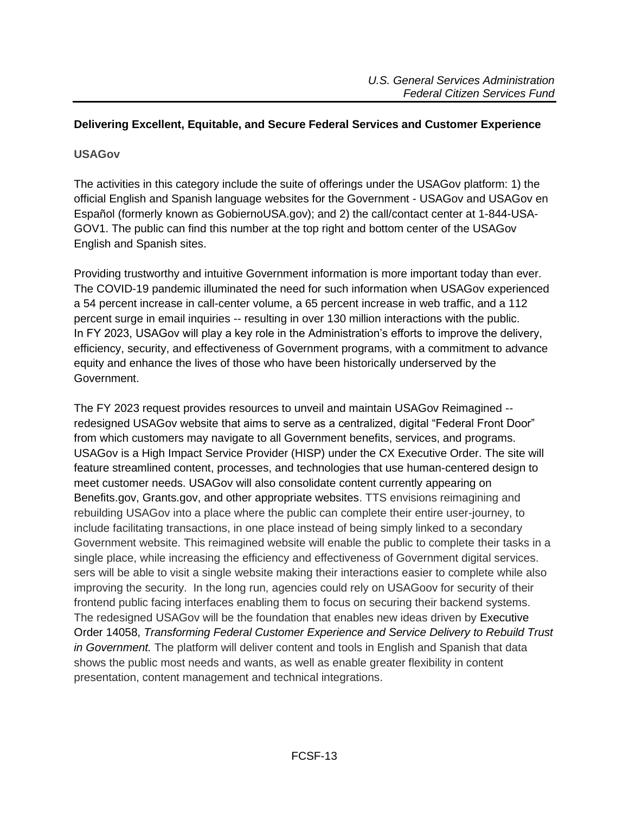#### <span id="page-12-0"></span>**Delivering Excellent, Equitable, and Secure Federal Services and Customer Experience**

#### <span id="page-12-1"></span>**USAGov**

The activities in this category include the suite of offerings under the USAGov platform: 1) the official English and Spanish language websites for the Government - USAGov and USAGov en Español (formerly known as GobiernoUSA.gov); and 2) the call/contact center at 1-844-USA-GOV1. The public can find this number at the top right and bottom center of the USAGov English and Spanish sites.

Providing trustworthy and intuitive Government information is more important today than ever. The COVID-19 pandemic illuminated the need for such information when USAGov experienced a 54 percent increase in call-center volume, a 65 percent increase in web traffic, and a 112 percent surge in email inquiries -- resulting in over 130 million interactions with the public. In FY 2023, USAGov will play a key role in the Administration's efforts to improve the delivery, efficiency, security, and effectiveness of Government programs, with a commitment to advance equity and enhance the lives of those who have been historically underserved by the Government.

The FY 2023 request provides resources to unveil and maintain USAGov Reimagined - redesigned USAGov website that aims to serve as a centralized, digital "Federal Front Door" from which customers may navigate to all Government benefits, services, and programs. USAGov is a High Impact Service Provider (HISP) under the CX Executive Order. The site will feature streamlined content, processes, and technologies that use human-centered design to meet customer needs. USAGov will also consolidate content currently appearing on Benefits.gov, Grants.gov, and other appropriate websites. TTS envisions reimagining and rebuilding USAGov into a place where the public can complete their entire user-journey, to include facilitating transactions, in one place instead of being simply linked to a secondary Government website. This reimagined website will enable the public to complete their tasks in a single place, while increasing the efficiency and effectiveness of Government digital services. sers will be able to visit a single website making their interactions easier to complete while also improving the security. In the long run, agencies could rely on USAGoov for security of their frontend public facing interfaces enabling them to focus on securing their backend systems. The redesigned USAGov will be the foundation that enables new ideas driven by Executive Order 14058, *Transforming Federal Customer Experience and Service Delivery to Rebuild Trust in Government.* The platform will deliver content and tools in English and Spanish that data shows the public most needs and wants, as well as enable greater flexibility in content presentation, content management and technical integrations.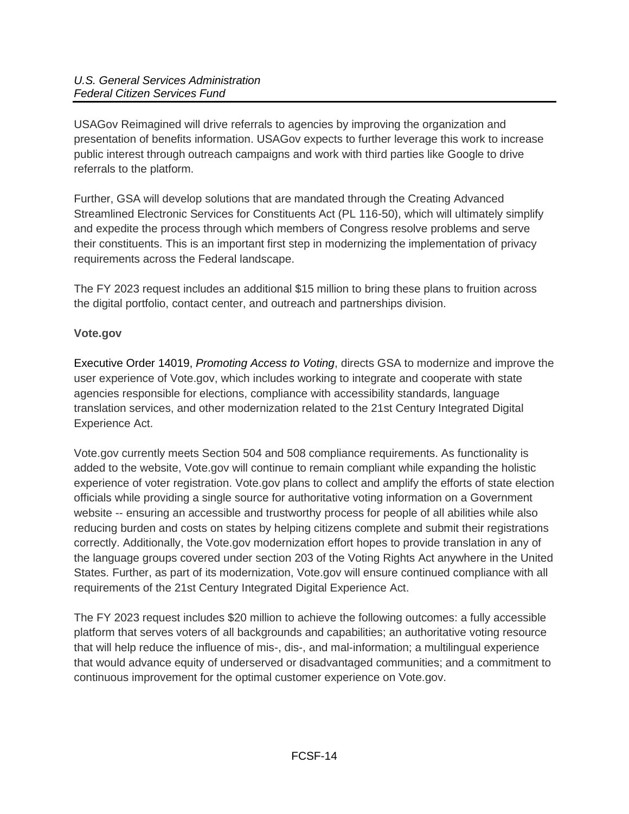USAGov Reimagined will drive referrals to agencies by improving the organization and presentation of benefits information. USAGov expects to further leverage this work to increase public interest through outreach campaigns and work with third parties like Google to drive referrals to the platform.

Further, GSA will develop solutions that are mandated through the Creating Advanced Streamlined Electronic Services for Constituents Act (PL 116-50), which will ultimately simplify and expedite the process through which members of Congress resolve problems and serve their constituents. This is an important first step in modernizing the implementation of privacy requirements across the Federal landscape.

The FY 2023 request includes an additional \$15 million to bring these plans to fruition across the digital portfolio, contact center, and outreach and partnerships division.

# <span id="page-13-0"></span>**Vote.gov**

Executive Order 14019, *Promoting Access to Voting*, directs GSA to modernize and improve the user experience of Vote.gov, which includes working to integrate and cooperate with state agencies responsible for elections, compliance with accessibility standards, language translation services, and other modernization related to the 21st Century Integrated Digital Experience Act.

Vote.gov currently meets Section 504 and 508 compliance requirements. As functionality is added to the website, Vote.gov will continue to remain compliant while expanding the holistic experience of voter registration. Vote.gov plans to collect and amplify the efforts of state election officials while providing a single source for authoritative voting information on a Government website -- ensuring an accessible and trustworthy process for people of all abilities while also reducing burden and costs on states by helping citizens complete and submit their registrations correctly. Additionally, the Vote.gov modernization effort hopes to provide translation in any of the language groups covered under section 203 of the Voting Rights Act anywhere in the United States. Further, as part of its modernization, Vote.gov will ensure continued compliance with all requirements of the 21st Century Integrated Digital Experience Act.

The FY 2023 request includes \$20 million to achieve the following outcomes: a fully accessible platform that serves voters of all backgrounds and capabilities; an authoritative voting resource that will help reduce the influence of mis-, dis-, and mal-information; a multilingual experience that would advance equity of underserved or disadvantaged communities; and a commitment to continuous improvement for the optimal customer experience on Vote.gov.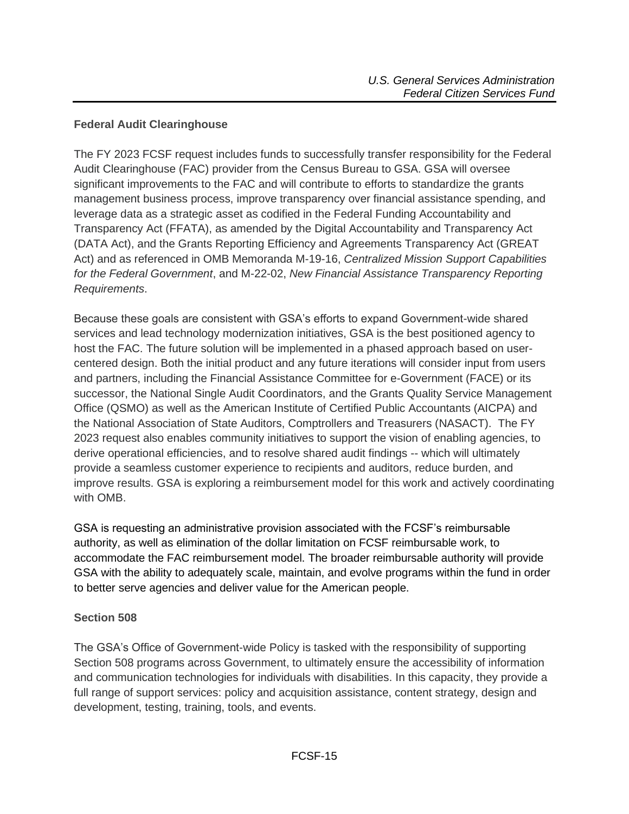### <span id="page-14-0"></span>**Federal Audit Clearinghouse**

The FY 2023 FCSF request includes funds to successfully transfer responsibility for the Federal Audit Clearinghouse (FAC) provider from the Census Bureau to GSA. GSA will oversee significant improvements to the FAC and will contribute to efforts to standardize the grants management business process, improve transparency over financial assistance spending, and leverage data as a strategic asset as codified in the Federal Funding Accountability and Transparency Act (FFATA), as amended by the Digital Accountability and Transparency Act (DATA Act), and the Grants Reporting Efficiency and Agreements Transparency Act (GREAT Act) and as referenced in OMB Memoranda M-19-16, *Centralized Mission Support Capabilities for the Federal Government*, and M-22-02, *New Financial Assistance Transparency Reporting Requirements*.

Because these goals are consistent with GSA's efforts to expand Government-wide shared services and lead technology modernization initiatives, GSA is the best positioned agency to host the FAC. The future solution will be implemented in a phased approach based on usercentered design. Both the initial product and any future iterations will consider input from users and partners, including the Financial Assistance Committee for e-Government (FACE) or its successor, the National Single Audit Coordinators, and the Grants Quality Service Management Office (QSMO) as well as the American Institute of Certified Public Accountants (AICPA) and the National Association of State Auditors, Comptrollers and Treasurers (NASACT). The FY 2023 request also enables community initiatives to support the vision of enabling agencies, to derive operational efficiencies, and to resolve shared audit findings -- which will ultimately provide a seamless customer experience to recipients and auditors, reduce burden, and improve results. GSA is exploring a reimbursement model for this work and actively coordinating with OMB.

GSA is requesting an administrative provision associated with the FCSF's reimbursable authority, as well as elimination of the dollar limitation on FCSF reimbursable work, to accommodate the FAC reimbursement model. The broader reimbursable authority will provide GSA with the ability to adequately scale, maintain, and evolve programs within the fund in order to better serve agencies and deliver value for the American people.

#### <span id="page-14-1"></span>**Section 508**

The GSA's Office of Government-wide Policy is tasked with the responsibility of supporting Section 508 programs across Government, to ultimately ensure the accessibility of information and communication technologies for individuals with disabilities. In this capacity, they provide a full range of support services: policy and acquisition assistance, content strategy, design and development, testing, training, tools, and events.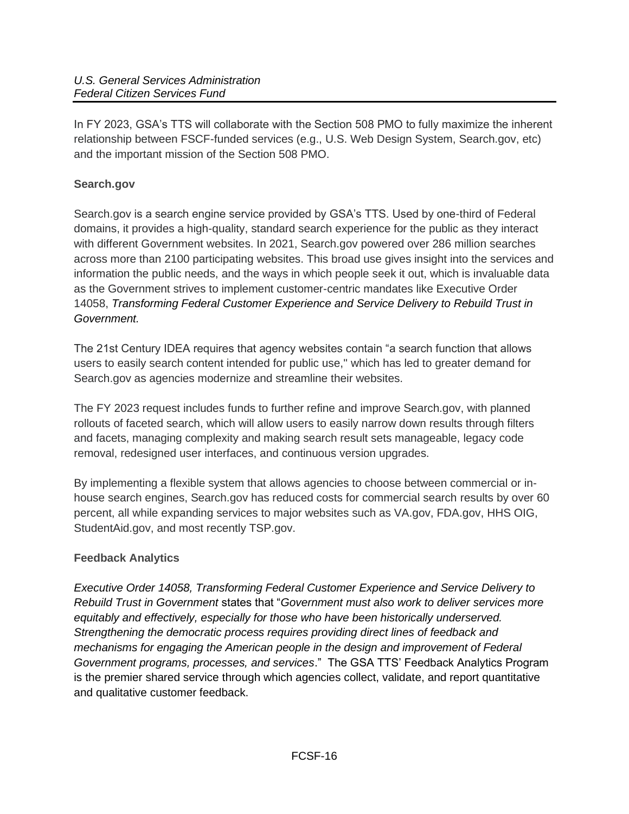In FY 2023, GSA's TTS will collaborate with the Section 508 PMO to fully maximize the inherent relationship between FSCF-funded services (e.g., U.S. Web Design System, Search.gov, etc) and the important mission of the Section 508 PMO.

# <span id="page-15-0"></span>**Search.gov**

Search.gov is a search engine service provided by GSA's TTS. Used by one-third of Federal domains, it provides a high-quality, standard search experience for the public as they interact with different Government websites. In 2021, Search.gov powered over 286 million searches across more than 2100 participating websites. This broad use gives insight into the services and information the public needs, and the ways in which people seek it out, which is invaluable data as the Government strives to implement customer-centric mandates like Executive Order 14058, *Transforming Federal Customer Experience and Service Delivery to Rebuild Trust in Government.*

The 21st Century IDEA requires that agency websites contain "a search function that allows users to easily search content intended for public use,'' which has led to greater demand for Search.gov as agencies modernize and streamline their websites.

The FY 2023 request includes funds to further refine and improve Search.gov, with planned rollouts of faceted search, which will allow users to easily narrow down results through filters and facets, managing complexity and making search result sets manageable, legacy code removal, redesigned user interfaces, and continuous version upgrades.

By implementing a flexible system that allows agencies to choose between commercial or inhouse search engines, Search.gov has reduced costs for commercial search results by over 60 percent, all while expanding services to major websites such as VA.gov, FDA.gov, HHS OIG, StudentAid.gov, and most recently TSP.gov.

# <span id="page-15-1"></span>**Feedback Analytics**

*Executive Order 14058, Transforming Federal Customer Experience and Service Delivery to Rebuild Trust in Government* states that "*Government must also work to deliver services more equitably and effectively, especially for those who have been historically underserved. Strengthening the democratic process requires providing direct lines of feedback and mechanisms for engaging the American people in the design and improvement of Federal Government programs, processes, and services*." The GSA TTS' Feedback Analytics Program is the premier shared service through which agencies collect, validate, and report quantitative and qualitative customer feedback.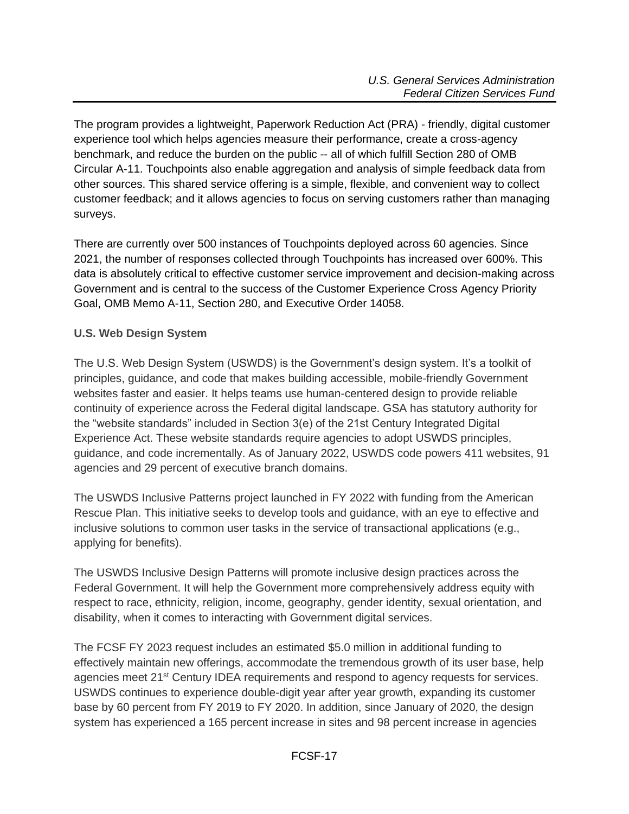The program provides a lightweight, Paperwork Reduction Act (PRA) - friendly, digital customer experience tool which helps agencies measure their performance, create a cross-agency benchmark, and reduce the burden on the public -- all of which fulfill Section 280 of OMB Circular A-11. Touchpoints also enable aggregation and analysis of simple feedback data from other sources. This shared service offering is a simple, flexible, and convenient way to collect customer feedback; and it allows agencies to focus on serving customers rather than managing surveys.

There are currently over 500 instances of Touchpoints deployed across 60 agencies. Since 2021, the number of responses collected through Touchpoints has increased over 600%. This data is absolutely critical to effective customer service improvement and decision-making across Government and is central to the success of the Customer Experience Cross Agency Priority Goal, OMB Memo A-11, Section 280, and Executive Order 14058.

# <span id="page-16-0"></span>**U.S. Web Design System**

The U.S. Web Design System (USWDS) is the Government's design system. It's a toolkit of principles, guidance, and code that makes building accessible, mobile-friendly Government websites faster and easier. It helps teams use human-centered design to provide reliable continuity of experience across the Federal digital landscape. GSA has statutory authority for the "website standards" included in Section 3(e) of the 21st Century Integrated Digital Experience Act. These website standards require agencies to adopt USWDS principles, guidance, and code incrementally. As of January 2022, USWDS code powers 411 websites, 91 agencies and 29 percent of executive branch domains.

The USWDS Inclusive Patterns project launched in FY 2022 with funding from the American Rescue Plan. This initiative seeks to develop tools and guidance, with an eye to effective and inclusive solutions to common user tasks in the service of transactional applications (e.g., applying for benefits).

The USWDS Inclusive Design Patterns will promote inclusive design practices across the Federal Government. It will help the Government more comprehensively address equity with respect to race, ethnicity, religion, income, geography, gender identity, sexual orientation, and disability, when it comes to interacting with Government digital services.

The FCSF FY 2023 request includes an estimated \$5.0 million in additional funding to effectively maintain new offerings, accommodate the tremendous growth of its user base, help agencies meet 21st Century IDEA requirements and respond to agency requests for services. USWDS continues to experience double-digit year after year growth, expanding its customer base by 60 percent from FY 2019 to FY 2020. In addition, since January of 2020, the design system has experienced a 165 percent increase in sites and 98 percent increase in agencies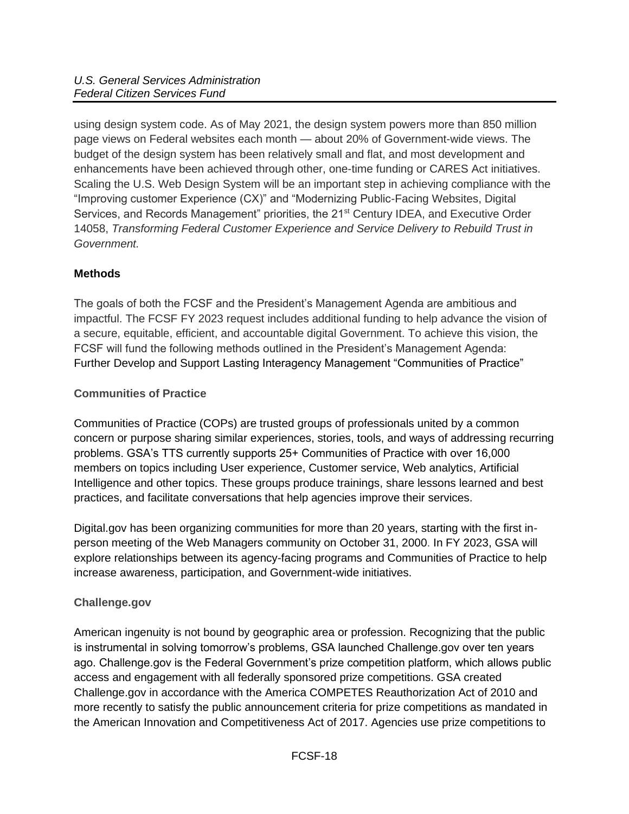using design system code. As of May 2021, the design system powers more than 850 million page views on Federal websites each month — about 20% of Government-wide views. The budget of the design system has been relatively small and flat, and most development and enhancements have been achieved through other, one-time funding or CARES Act initiatives. Scaling the U.S. Web Design System will be an important step in achieving compliance with the "Improving customer Experience (CX)" and "Modernizing Public-Facing Websites, Digital Services, and Records Management" priorities, the 21<sup>st</sup> Century IDEA, and Executive Order 14058, *Transforming Federal Customer Experience and Service Delivery to Rebuild Trust in Government.*

# <span id="page-17-0"></span>**Methods**

The goals of both the FCSF and the President's Management Agenda are ambitious and impactful. The FCSF FY 2023 request includes additional funding to help advance the vision of a secure, equitable, efficient, and accountable digital Government. To achieve this vision, the FCSF will fund the following methods outlined in the President's Management Agenda: Further Develop and Support Lasting Interagency Management "Communities of Practice"

# <span id="page-17-2"></span><span id="page-17-1"></span>**Communities of Practice**

Communities of Practice (COPs) are trusted groups of professionals united by a common concern or purpose sharing similar experiences, stories, tools, and ways of addressing recurring problems. GSA's TTS currently supports 25+ Communities of Practice with over 16,000 members on topics including User experience, Customer service, Web analytics, Artificial Intelligence and other topics. These groups produce trainings, share lessons learned and best practices, and facilitate conversations that help agencies improve their services.

Digital.gov has been organizing communities for more than 20 years, starting with the first inperson meeting of the Web Managers community on October 31, 2000. In FY 2023, GSA will explore relationships between its agency-facing programs and Communities of Practice to help increase awareness, participation, and Government-wide initiatives.

# <span id="page-17-3"></span>**Challenge.gov**

American ingenuity is not bound by geographic area or profession. Recognizing that the public is instrumental in solving tomorrow's problems, GSA launched Challenge.gov over ten years ago. Challenge.gov is the Federal Government's prize competition platform, which allows public access and engagement with all federally sponsored prize competitions. GSA created Challenge.gov in accordance with the America COMPETES Reauthorization Act of 2010 and more recently to satisfy the public announcement criteria for prize competitions as mandated in the American Innovation and Competitiveness Act of 2017. Agencies use prize competitions to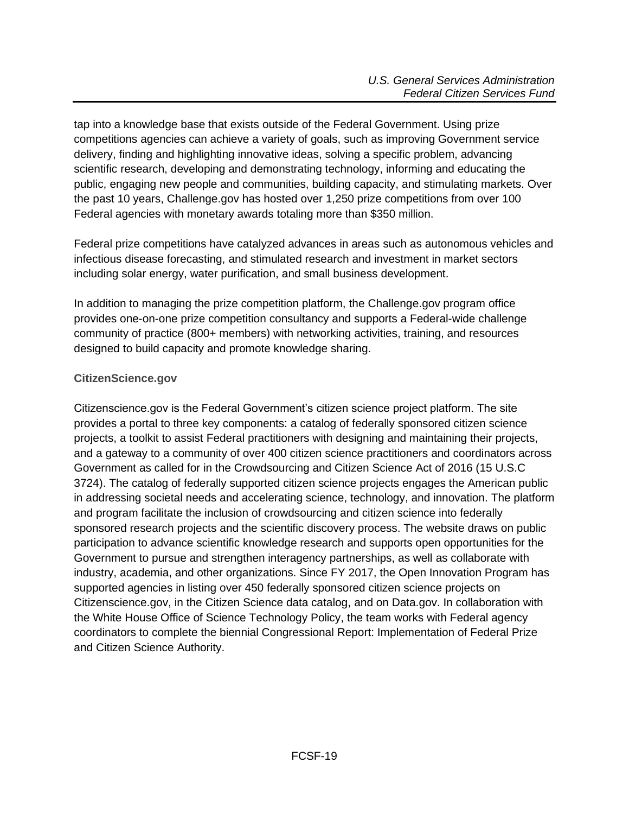tap into a knowledge base that exists outside of the Federal Government. Using prize competitions agencies can achieve a variety of goals, such as improving Government service delivery, finding and highlighting innovative ideas, solving a specific problem, advancing scientific research, developing and demonstrating technology, informing and educating the public, engaging new people and communities, building capacity, and stimulating markets. Over the past 10 years, Challenge.gov has hosted over 1,250 prize competitions from over 100 Federal agencies with monetary awards totaling more than \$350 million.

Federal prize competitions have catalyzed advances in areas such as autonomous vehicles and infectious disease forecasting, and stimulated research and investment in market sectors including solar energy, water purification, and small business development.

In addition to managing the prize competition platform, the Challenge.gov program office provides one-on-one prize competition consultancy and supports a Federal-wide challenge community of practice (800+ members) with networking activities, training, and resources designed to build capacity and promote knowledge sharing.

### <span id="page-18-0"></span>**CitizenScience.gov**

Citizenscience.gov is the Federal Government's citizen science project platform. The site provides a portal to three key components: a catalog of federally sponsored citizen science projects, a toolkit to assist Federal practitioners with designing and maintaining their projects, and a gateway to a community of over 400 citizen science practitioners and coordinators across Government as called for in the Crowdsourcing and Citizen Science Act of 2016 (15 U.S.C 3724). The catalog of federally supported citizen science projects engages the American public in addressing societal needs and accelerating science, technology, and innovation. The platform and program facilitate the inclusion of crowdsourcing and citizen science into federally sponsored research projects and the scientific discovery process. The website draws on public participation to advance scientific knowledge research and supports open opportunities for the Government to pursue and strengthen interagency partnerships, as well as collaborate with industry, academia, and other organizations. Since FY 2017, the Open Innovation Program has supported agencies in listing over 450 federally sponsored citizen science projects on Citizenscience.gov, in the Citizen Science data catalog, and on Data.gov. In collaboration with the White House Office of Science Technology Policy, the team works with Federal agency coordinators to complete the biennial Congressional Report: Implementation of Federal Prize and Citizen Science Authority.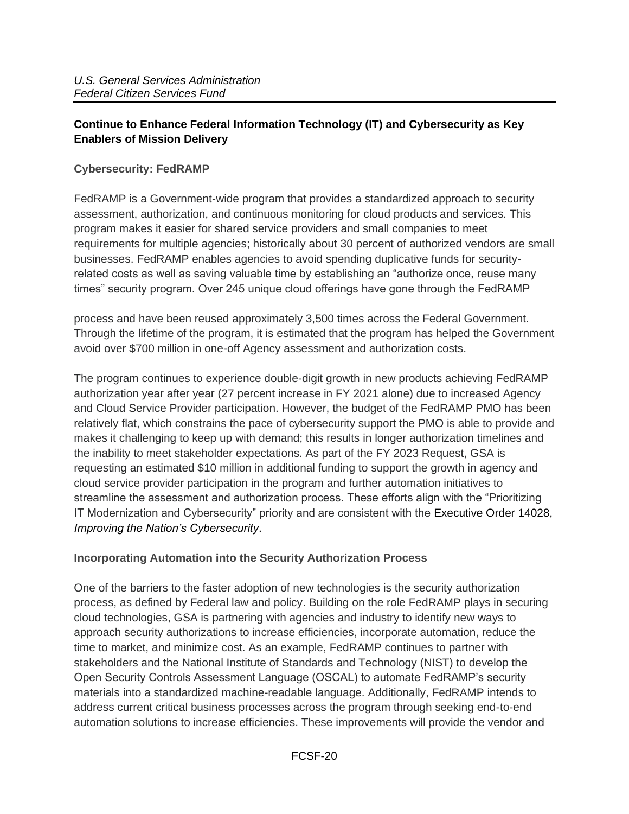# <span id="page-19-0"></span>**Continue to Enhance Federal Information Technology (IT) and Cybersecurity as Key Enablers of Mission Delivery**

#### <span id="page-19-1"></span>**Cybersecurity: FedRAMP**

FedRAMP is a Government-wide program that provides a standardized approach to security assessment, authorization, and continuous monitoring for cloud products and services. This program makes it easier for shared service providers and small companies to meet requirements for multiple agencies; historically about 30 percent of authorized vendors are small businesses. FedRAMP enables agencies to avoid spending duplicative funds for securityrelated costs as well as saving valuable time by establishing an "authorize once, reuse many times" security program. Over 245 unique cloud offerings have gone through the FedRAMP

process and have been reused approximately 3,500 times across the Federal Government. Through the lifetime of the program, it is estimated that the program has helped the Government avoid over \$700 million in one-off Agency assessment and authorization costs.

The program continues to experience double-digit growth in new products achieving FedRAMP authorization year after year (27 percent increase in FY 2021 alone) due to increased Agency and Cloud Service Provider participation. However, the budget of the FedRAMP PMO has been relatively flat, which constrains the pace of cybersecurity support the PMO is able to provide and makes it challenging to keep up with demand; this results in longer authorization timelines and the inability to meet stakeholder expectations. As part of the FY 2023 Request, GSA is requesting an estimated \$10 million in additional funding to support the growth in agency and cloud service provider participation in the program and further automation initiatives to streamline the assessment and authorization process. These efforts align with the "Prioritizing IT Modernization and Cybersecurity" priority and are consistent with the Executive Order 14028, *Improving the Nation's Cybersecurity*.

#### <span id="page-19-2"></span>**Incorporating Automation into the Security Authorization Process**

One of the barriers to the faster adoption of new technologies is the security authorization process, as defined by Federal law and policy. Building on the role FedRAMP plays in securing cloud technologies, GSA is partnering with agencies and industry to identify new ways to approach security authorizations to increase efficiencies, incorporate automation, reduce the time to market, and minimize cost. As an example, FedRAMP continues to partner with stakeholders and the National Institute of Standards and Technology (NIST) to develop the Open Security Controls Assessment Language (OSCAL) to automate FedRAMP's security materials into a standardized machine-readable language. Additionally, FedRAMP intends to address current critical business processes across the program through seeking end-to-end automation solutions to increase efficiencies. These improvements will provide the vendor and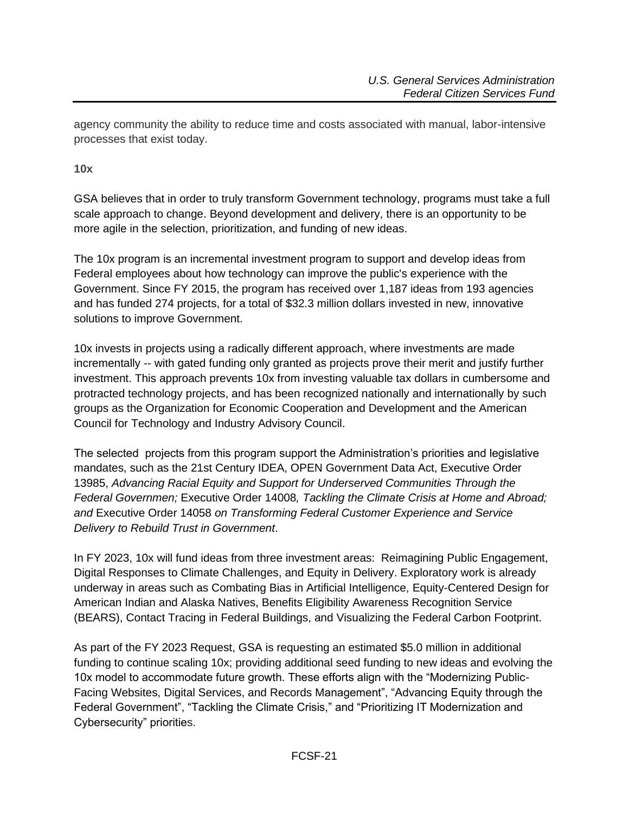agency community the ability to reduce time and costs associated with manual, labor-intensive processes that exist today.

<span id="page-20-0"></span>**10x** 

GSA believes that in order to truly transform Government technology, programs must take a full scale approach to change. Beyond development and delivery, there is an opportunity to be more agile in the selection, prioritization, and funding of new ideas.

The 10x program is an incremental investment program to support and develop ideas from Federal employees about how technology can improve the public's experience with the Government. Since FY 2015, the program has received over 1,187 ideas from 193 agencies and has funded 274 projects, for a total of \$32.3 million dollars invested in new, innovative solutions to improve Government.

10x invests in projects using a radically different approach, where investments are made incrementally -- with gated funding only granted as projects prove their merit and justify further investment. This approach prevents 10x from investing valuable tax dollars in cumbersome and protracted technology projects, and has been recognized nationally and internationally by such groups as the Organization for Economic Cooperation and Development and the American Council for Technology and Industry Advisory Council.

The selected projects from this program support the Administration's priorities and legislative mandates, such as the 21st Century IDEA, OPEN Government Data Act, Executive Order 13985, *Advancing Racial Equity and Support for Underserved Communities Through the Federal Governmen;* Executive Order 14008*, Tackling the Climate Crisis at Home and Abroad; and* Executive Order 14058 *on Transforming Federal Customer Experience and Service Delivery to Rebuild Trust in Government*.

In FY 2023, 10x will fund ideas from three investment areas: Reimagining Public Engagement, Digital Responses to Climate Challenges, and Equity in Delivery. Exploratory work is already underway in areas such as Combating Bias in Artificial Intelligence, Equity-Centered Design for American Indian and Alaska Natives, Benefits Eligibility Awareness Recognition Service (BEARS), Contact Tracing in Federal Buildings, and Visualizing the Federal Carbon Footprint.

As part of the FY 2023 Request, GSA is requesting an estimated \$5.0 million in additional funding to continue scaling 10x; providing additional seed funding to new ideas and evolving the 10x model to accommodate future growth. These efforts align with the "Modernizing Public-Facing Websites, Digital Services, and Records Management", "Advancing Equity through the Federal Government", "Tackling the Climate Crisis," and "Prioritizing IT Modernization and Cybersecurity" priorities.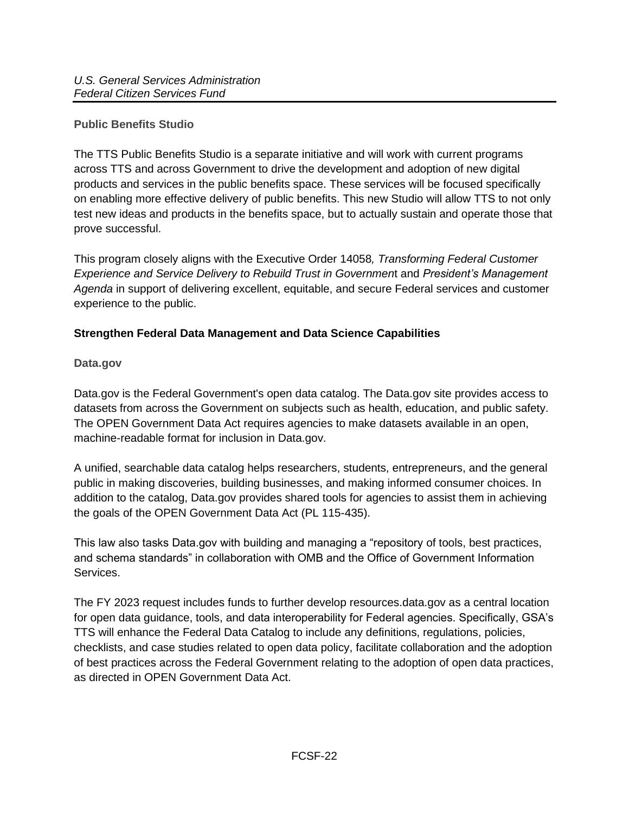### <span id="page-21-0"></span>**Public Benefits Studio**

The TTS Public Benefits Studio is a separate initiative and will work with current programs across TTS and across Government to drive the development and adoption of new digital products and services in the public benefits space. These services will be focused specifically on enabling more effective delivery of public benefits. This new Studio will allow TTS to not only test new ideas and products in the benefits space, but to actually sustain and operate those that prove successful.

This program closely aligns with the Executive Order 14058*, Transforming Federal Customer Experience and Service Delivery to Rebuild Trust in Governmen*t and *President's Management Agenda* in support of delivering excellent, equitable, and secure Federal services and customer experience to the public.

### <span id="page-21-1"></span>**Strengthen Federal Data Management and Data Science Capabilities**

#### <span id="page-21-2"></span>**Data.gov**

Data.gov is the Federal Government's open data catalog. The Data.gov site provides access to datasets from across the Government on subjects such as health, education, and public safety. The OPEN Government Data Act requires agencies to make datasets available in an open, machine-readable format for inclusion in Data.gov.

A unified, searchable data catalog helps researchers, students, entrepreneurs, and the general public in making discoveries, building businesses, and making informed consumer choices. In addition to the catalog, Data.gov provides shared tools for agencies to assist them in achieving the goals of the OPEN Government Data Act (PL 115-435).

This law also tasks Data.gov with building and managing a "repository of tools, best practices, and schema standards" in collaboration with OMB and the Office of Government Information Services.

The FY 2023 request includes funds to further develop resources.data.gov as a central location for open data guidance, tools, and data interoperability for Federal agencies. Specifically, GSA's TTS will enhance the Federal Data Catalog to include any definitions, regulations, policies, checklists, and case studies related to open data policy, facilitate collaboration and the adoption of best practices across the Federal Government relating to the adoption of open data practices, as directed in OPEN Government Data Act.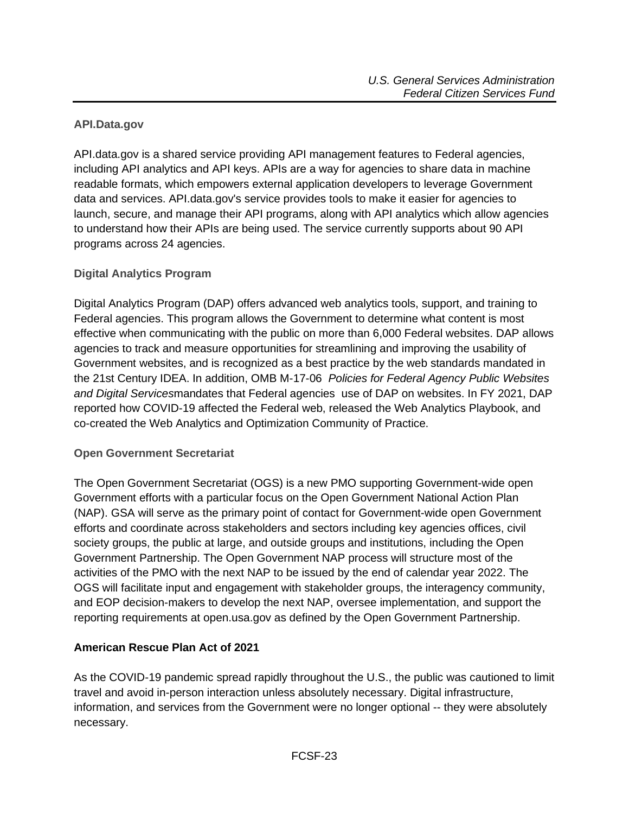### <span id="page-22-0"></span>**API.Data.gov**

API.data.gov is a shared service providing API management features to Federal agencies, including API analytics and API keys. APIs are a way for agencies to share data in machine readable formats, which empowers external application developers to leverage Government data and services. API.data.gov's service provides tools to make it easier for agencies to launch, secure, and manage their API programs, along with API analytics which allow agencies to understand how their APIs are being used. The service currently supports about 90 API programs across 24 agencies.

### <span id="page-22-1"></span>**Digital Analytics Program**

Digital Analytics Program (DAP) offers advanced web analytics tools, support, and training to Federal agencies. This program allows the Government to determine what content is most effective when communicating with the public on more than 6,000 Federal websites. DAP allows agencies to track and measure opportunities for streamlining and improving the usability of Government websites, and is recognized as a best practice by the web standards mandated in the 21st Century IDEA. In addition, OMB M-17-06 *Policies for Federal Agency Public Websites and Digital Services*mandates that Federal agencies use of DAP on websites. In FY 2021, DAP reported how COVID-19 affected the Federal web, released the Web Analytics Playbook, and co-created the Web Analytics and Optimization Community of Practice.

#### <span id="page-22-2"></span>**Open Government Secretariat**

The Open Government Secretariat (OGS) is a new PMO supporting Government-wide open Government efforts with a particular focus on the Open Government National Action Plan (NAP). GSA will serve as the primary point of contact for Government-wide open Government efforts and coordinate across stakeholders and sectors including key agencies offices, civil society groups, the public at large, and outside groups and institutions, including the Open Government Partnership. The Open Government NAP process will structure most of the activities of the PMO with the next NAP to be issued by the end of calendar year 2022. The OGS will facilitate input and engagement with stakeholder groups, the interagency community, and EOP decision-makers to develop the next NAP, oversee implementation, and support the reporting requirements at open.usa.gov as defined by the Open Government Partnership.

# <span id="page-22-3"></span>**American Rescue Plan Act of 2021**

As the COVID-19 pandemic spread rapidly throughout the U.S., the public was cautioned to limit travel and avoid in-person interaction unless absolutely necessary. Digital infrastructure, information, and services from the Government were no longer optional -- they were absolutely necessary.